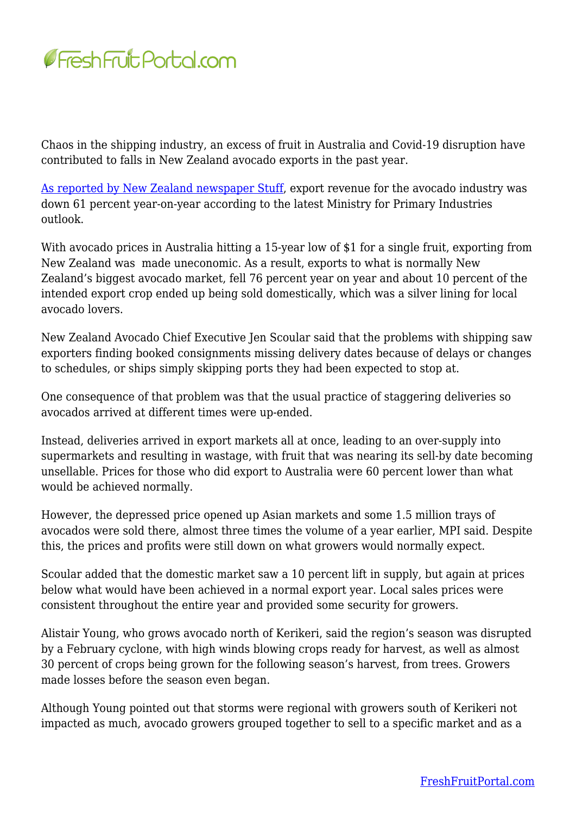

Chaos in the shipping industry, an excess of fruit in Australia and Covid-19 disruption have contributed to falls in New Zealand avocado exports in the past year.

[As reported by New Zealand newspaper Stuff,](https://www.stuff.co.nz/business/farming/128942387/avocado-exports-take-a-knock-but-its-not-all-bad-news) export revenue for the avocado industry was down 61 percent year-on-year according to the latest Ministry for Primary Industries outlook.

With avocado prices in Australia hitting a 15-year low of \$1 for a single fruit, exporting from New Zealand was made uneconomic. As a result, exports to what is normally New Zealand's biggest avocado market, fell 76 percent year on year and about 10 percent of the intended export crop ended up being sold domestically, which was a silver lining for local avocado lovers.

New Zealand Avocado Chief Executive Jen Scoular said that the problems with shipping saw exporters finding booked consignments missing delivery dates because of delays or changes to schedules, or ships simply skipping ports they had been expected to stop at.

One consequence of that problem was that the usual practice of staggering deliveries so avocados arrived at different times were up-ended.

Instead, deliveries arrived in export markets all at once, leading to an over-supply into supermarkets and resulting in wastage, with fruit that was nearing its sell-by date becoming unsellable. Prices for those who did export to Australia were 60 percent lower than what would be achieved normally.

However, the depressed price opened up Asian markets and some 1.5 million trays of avocados were sold there, almost three times the volume of a year earlier, MPI said. Despite this, the prices and profits were still down on what growers would normally expect.

Scoular added that the domestic market saw a 10 percent lift in supply, but again at prices below what would have been achieved in a normal export year. Local sales prices were consistent throughout the entire year and provided some security for growers.

Alistair Young, who grows avocado north of Kerikeri, said the region's season was disrupted by a February cyclone, with high winds blowing crops ready for harvest, as well as almost 30 percent of crops being grown for the following season's harvest, from trees. Growers made losses before the season even began.

Although Young pointed out that storms were regional with growers south of Kerikeri not impacted as much, avocado growers grouped together to sell to a specific market and as a